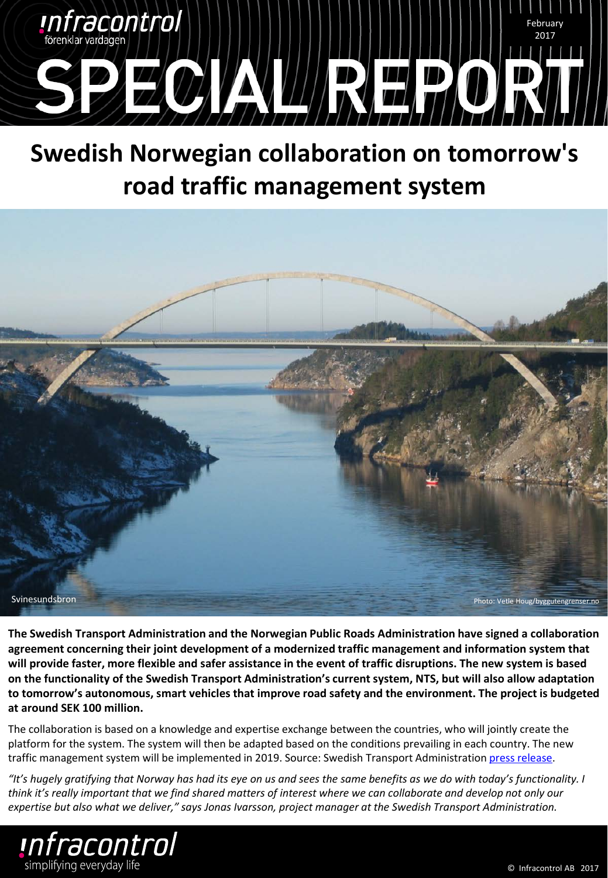

## **Swedish Norwegian collaboration on tomorrow's road traffic management system**



**The Swedish Transport Administration and the Norwegian Public Roads Administration have signed a collaboration agreement concerning their joint development of a modernized traffic management and information system that will provide faster, more flexible and safer assistance in the event of traffic disruptions. The new system is based on the functionality of the Swedish Transport Administration's current system, NTS, but will also allow adaptation to tomorrow's autonomous, smart vehicles that improve road safety and the environment. The project is budgeted at around SEK 100 million.** 

The collaboration is based on a knowledge and expertise exchange between the countries, who will jointly create the platform for the system. The system will then be adapted based on the conditions prevailing in each country. The new traffic management system will be implemented in 2019. Source: Swedish Transport Administration [press release.](http://www.trafikverket.se/om-oss/pressrum/pressmeddelanden/Nationellt/2017/2017-01/norskt-svenskt-samarbete-om-framtidens-vagtrafikledningssystem/)

*"It's hugely gratifying that Norway has had its eye on us and sees the same benefits as we do with today's functionality. I think it's really important that we find shared matters of interest where we can collaborate and develop not only our expertise but also what we deliver," says Jonas Ivarsson, project manager at the Swedish Transport Administration.*